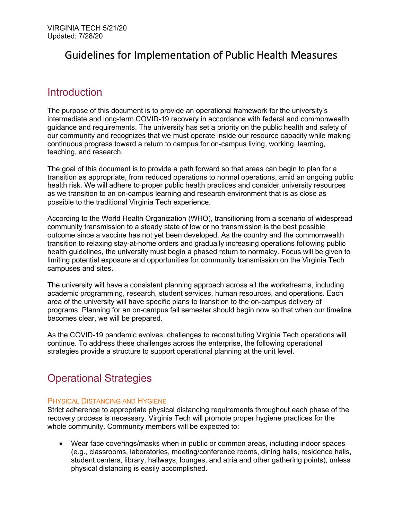# Guidelines for Implementation of Public Health Measures

# Introduction

The purpose of this document is to provide an operational framework for the university's intermediate and long-term COVID-19 recovery in accordance with federal and commonwealth guidance and requirements. The university has set a priority on the public health and safety of our community and recognizes that we must operate inside our resource capacity while making continuous progress toward a return to campus for on-campus living, working, learning, teaching, and research.

The goal of this document is to provide a path forward so that areas can begin to plan for a transition as appropriate, from reduced operations to normal operations, amid an ongoing public health risk. We will adhere to proper public health practices and consider university resources as we transition to an on-campus learning and research environment that is as close as possible to the traditional Virginia Tech experience.

According to the World Health Organization (WHO), transitioning from a scenario of widespread community transmission to a steady state of low or no transmission is the best possible outcome since a vaccine has not yet been developed. As the country and the commonwealth transition to relaxing stay-at-home orders and gradually increasing operations following public health guidelines, the university must begin a phased return to normalcy. Focus will be given to limiting potential exposure and opportunities for community transmission on the Virginia Tech campuses and sites.

The university will have a consistent planning approach across all the workstreams, including academic programming, research, student services, human resources, and operations. Each area of the university will have specific plans to transition to the on-campus delivery of programs. Planning for an on-campus fall semester should begin now so that when our timeline becomes clear, we will be prepared.

As the COVID-19 pandemic evolves, challenges to reconstituting Virginia Tech operations will continue. To address these challenges across the enterprise, the following operational strategies provide a structure to support operational planning at the unit level.

# Operational Strategies

# PHYSICAL DISTANCING AND HYGIENE

Strict adherence to appropriate physical distancing requirements throughout each phase of the recovery process is necessary. Virginia Tech will promote proper hygiene practices for the whole community. Community members will be expected to:

• Wear face coverings/masks when in public or common areas, including indoor spaces (e.g., classrooms, laboratories, meeting/conference rooms, dining halls, residence halls, student centers, library, hallways, lounges, and atria and other gathering points), unless physical distancing is easily accomplished.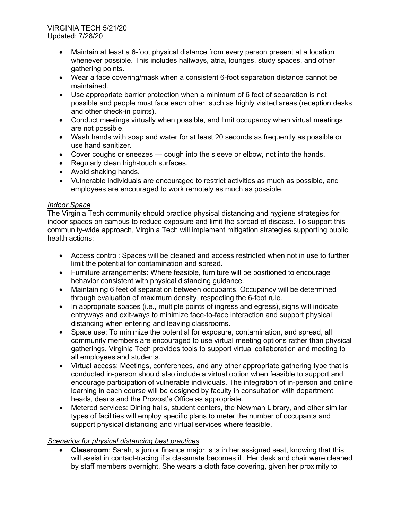- Maintain at least a 6-foot physical distance from every person present at a location whenever possible. This includes hallways, atria, lounges, study spaces, and other gathering points.
- Wear a face covering/mask when a consistent 6-foot separation distance cannot be maintained.
- Use appropriate barrier protection when a minimum of 6 feet of separation is not possible and people must face each other, such as highly visited areas (reception desks and other check-in points).
- Conduct meetings virtually when possible, and limit occupancy when virtual meetings are not possible.
- Wash hands with soap and water for at least 20 seconds as frequently as possible or use hand sanitizer.
- Cover coughs or sneezes cough into the sleeve or elbow, not into the hands.
- Regularly clean high-touch surfaces.
- Avoid shaking hands.
- Vulnerable individuals are encouraged to restrict activities as much as possible, and employees are encouraged to work remotely as much as possible.

# *Indoor Space*

The Virginia Tech community should practice physical distancing and hygiene strategies for indoor spaces on campus to reduce exposure and limit the spread of disease. To support this community-wide approach, Virginia Tech will implement mitigation strategies supporting public health actions:

- Access control: Spaces will be cleaned and access restricted when not in use to further limit the potential for contamination and spread.
- Furniture arrangements: Where feasible, furniture will be positioned to encourage behavior consistent with physical distancing guidance.
- Maintaining 6 feet of separation between occupants. Occupancy will be determined through evaluation of maximum density, respecting the 6-foot rule.
- In appropriate spaces (i.e., multiple points of ingress and egress), signs will indicate entryways and exit-ways to minimize face-to-face interaction and support physical distancing when entering and leaving classrooms.
- Space use: To minimize the potential for exposure, contamination, and spread, all community members are encouraged to use virtual meeting options rather than physical gatherings. Virginia Tech provides tools to support virtual collaboration and meeting to all employees and students.
- Virtual access: Meetings, conferences, and any other appropriate gathering type that is conducted in-person should also include a virtual option when feasible to support and encourage participation of vulnerable individuals. The integration of in-person and online learning in each course will be designed by faculty in consultation with department heads, deans and the Provost's Office as appropriate.
- Metered services: Dining halls, student centers, the Newman Library, and other similar types of facilities will employ specific plans to meter the number of occupants and support physical distancing and virtual services where feasible.

# *Scenarios for physical distancing best practices*

• **Classroom**: Sarah, a junior finance major, sits in her assigned seat, knowing that this will assist in contact-tracing if a classmate becomes ill. Her desk and chair were cleaned by staff members overnight. She wears a cloth face covering, given her proximity to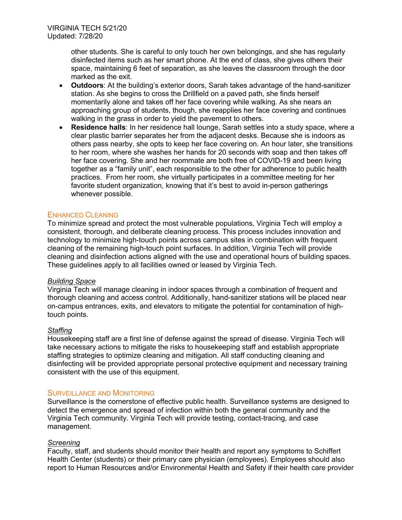other students. She is careful to only touch her own belongings, and she has regularly disinfected items such as her smart phone. At the end of class, she gives others their space, maintaining 6 feet of separation, as she leaves the classroom through the door marked as the exit.

- **Outdoors**: At the building's exterior doors, Sarah takes advantage of the hand-sanitizer station. As she begins to cross the Drillfield on a paved path, she finds herself momentarily alone and takes off her face covering while walking. As she nears an approaching group of students, though, she reapplies her face covering and continues walking in the grass in order to yield the pavement to others.
- **Residence halls**: In her residence hall lounge, Sarah settles into a study space, where a clear plastic barrier separates her from the adjacent desks. Because she is indoors as others pass nearby, she opts to keep her face covering on. An hour later, she transitions to her room, where she washes her hands for 20 seconds with soap and then takes off her face covering. She and her roommate are both free of COVID-19 and been living together as a "family unit", each responsible to the other for adherence to public health practices. From her room, she virtually participates in a committee meeting for her favorite student organization, knowing that it's best to avoid in-person gatherings whenever possible.

## ENHANCED CLEANING

To minimize spread and protect the most vulnerable populations, Virginia Tech will employ a consistent, thorough, and deliberate cleaning process. This process includes innovation and technology to minimize high-touch points across campus sites in combination with frequent cleaning of the remaining high-touch point surfaces. In addition, Virginia Tech will provide cleaning and disinfection actions aligned with the use and operational hours of building spaces. These guidelines apply to all facilities owned or leased by Virginia Tech.

## *Building Space*

Virginia Tech will manage cleaning in indoor spaces through a combination of frequent and thorough cleaning and access control. Additionally, hand-sanitizer stations will be placed near on-campus entrances, exits, and elevators to mitigate the potential for contamination of hightouch points.

#### *Staffing*

Housekeeping staff are a first line of defense against the spread of disease. Virginia Tech will take necessary actions to mitigate the risks to housekeeping staff and establish appropriate staffing strategies to optimize cleaning and mitigation. All staff conducting cleaning and disinfecting will be provided appropriate personal protective equipment and necessary training consistent with the use of this equipment.

#### SURVEILLANCE AND MONITORING

Surveillance is the cornerstone of effective public health. Surveillance systems are designed to detect the emergence and spread of infection within both the general community and the Virginia Tech community. Virginia Tech will provide testing, contact-tracing, and case management.

#### *Screening*

Faculty, staff, and students should monitor their health and report any symptoms to Schiffert Health Center (students) or their primary care physician (employees). Employees should also report to Human Resources and/or Environmental Health and Safety if their health care provider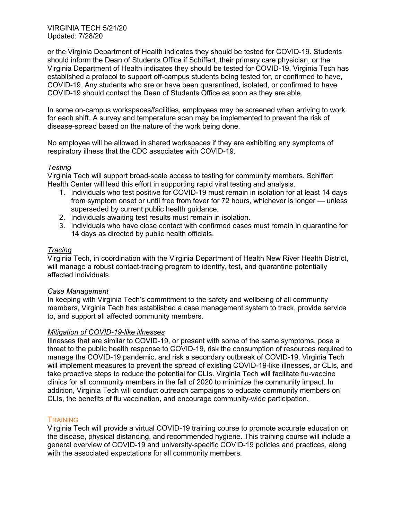or the Virginia Department of Health indicates they should be tested for COVID-19. Students should inform the Dean of Students Office if Schiffert, their primary care physician, or the Virginia Department of Health indicates they should be tested for COVID-19. Virginia Tech has established a protocol to support off-campus students being tested for, or confirmed to have, COVID-19. Any students who are or have been quarantined, isolated, or confirmed to have COVID-19 should contact the Dean of Students Office as soon as they are able.

In some on-campus workspaces/facilities, employees may be screened when arriving to work for each shift. A survey and temperature scan may be implemented to prevent the risk of disease-spread based on the nature of the work being done.

No employee will be allowed in shared workspaces if they are exhibiting any symptoms of respiratory illness that the CDC associates with COVID-19.

## *Testing*

Virginia Tech will support broad-scale access to testing for community members. Schiffert Health Center will lead this effort in supporting rapid viral testing and analysis.

- 1. Individuals who test positive for COVID-19 must remain in isolation for at least 14 days from symptom onset or until free from fever for 72 hours, whichever is longer — unless superseded by current public health guidance.
- 2. Individuals awaiting test results must remain in isolation.
- 3. Individuals who have close contact with confirmed cases must remain in quarantine for 14 days as directed by public health officials.

## *Tracing*

Virginia Tech, in coordination with the Virginia Department of Health New River Health District, will manage a robust contact-tracing program to identify, test, and quarantine potentially affected individuals.

#### *Case Management*

In keeping with Virginia Tech's commitment to the safety and wellbeing of all community members, Virginia Tech has established a case management system to track, provide service to, and support all affected community members.

#### *Mitigation of COVID-19-like illnesses*

Illnesses that are similar to COVID-19, or present with some of the same symptoms, pose a threat to the public health response to COVID-19, risk the consumption of resources required to manage the COVID-19 pandemic, and risk a secondary outbreak of COVID-19. Virginia Tech will implement measures to prevent the spread of existing COVID-19-like illnesses, or CLIs, and take proactive steps to reduce the potential for CLIs. Virginia Tech will facilitate flu-vaccine clinics for all community members in the fall of 2020 to minimize the community impact. In addition, Virginia Tech will conduct outreach campaigns to educate community members on CLIs, the benefits of flu vaccination, and encourage community-wide participation.

# **TRAINING**

Virginia Tech will provide a virtual COVID-19 training course to promote accurate education on the disease, physical distancing, and recommended hygiene. This training course will include a general overview of COVID-19 and university-specific COVID-19 policies and practices, along with the associated expectations for all community members.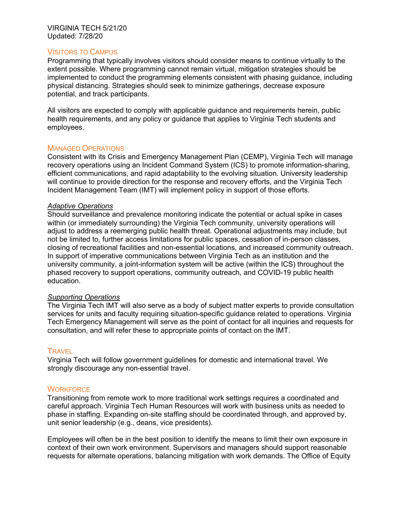# VISITORS TO CAMPUS

Programming that typically involves visitors should consider means to continue virtually to the extent possible. Where programming cannot remain virtual, mitigation strategies should be implemented to conduct the programming elements consistent with phasing guidance, including physical distancing. Strategies should seek to minimize gatherings, decrease exposure potential, and track participants.

All visitors are expected to comply with applicable guidance and requirements herein, public health requirements, and any policy or guidance that applies to Virginia Tech students and employees.

## MANAGED OPERATIONS

Consistent with its Crisis and Emergency Management Plan (CEMP), Virginia Tech will manage recovery operations using an Incident Command System (ICS) to promote information-sharing, efficient communications, and rapid adaptability to the evolving situation. University leadership will continue to provide direction for the response and recovery efforts, and the Virginia Tech Incident Management Team (IMT) will implement policy in support of those efforts.

#### *Adaptive Operations*

Should surveillance and prevalence monitoring indicate the potential or actual spike in cases within (or immediately surrounding) the Virginia Tech community, university operations will adjust to address a reemerging public health threat. Operational adjustments may include, but not be limited to, further access limitations for public spaces, cessation of in-person classes, closing of recreational facilities and non-essential locations, and increased community outreach. In support of imperative communications between Virginia Tech as an institution and the university community, a joint-information system will be active (within the ICS) throughout the phased recovery to support operations, community outreach, and COVID-19 public health education.

#### *Supporting Operations*

The Virginia Tech IMT will also serve as a body of subject matter experts to provide consultation services for units and faculty requiring situation-specific guidance related to operations. Virginia Tech Emergency Management will serve as the point of contact for all inquiries and requests for consultation, and will refer these to appropriate points of contact on the IMT.

#### **TRAVEL**

Virginia Tech will follow government guidelines for domestic and international travel. We strongly discourage any non-essential travel.

#### **WORKFORCE**

Transitioning from remote work to more traditional work settings requires a coordinated and careful approach. Virginia Tech Human Resources will work with business units as needed to phase in staffing. Expanding on-site staffing should be coordinated through, and approved by, unit senior leadership (e.g., deans, vice presidents).

Employees will often be in the best position to identify the means to limit their own exposure in context of their own work environment. Supervisors and managers should support reasonable requests for alternate operations, balancing mitigation with work demands. The Office of Equity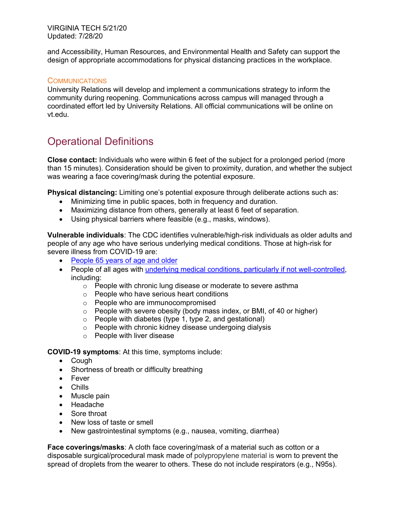and Accessibility, Human Resources, and Environmental Health and Safety can support the design of appropriate accommodations for physical distancing practices in the workplace.

# **COMMUNICATIONS**

University Relations will develop and implement a communications strategy to inform the community during reopening. Communications across campus will managed through a coordinated effort led by University Relations. All official communications will be online on vt.edu.

# Operational Definitions

**Close contact:** Individuals who were within 6 feet of the subject for a prolonged period (more than 15 minutes). Consideration should be given to proximity, duration, and whether the subject was wearing a face covering/mask during the potential exposure.

**Physical distancing:** Limiting one's potential exposure through deliberate actions such as:

- Minimizing time in public spaces, both in frequency and duration.
- Maximizing distance from others, generally at least 6 feet of separation.
- Using physical barriers where feasible (e.g., masks, windows).

**Vulnerable individuals**: The CDC identifies vulnerable/high-risk individuals as older adults and people of any age who have serious underlying medical conditions. Those at high-risk for severe illness from COVID-19 are:

- People 65 years of age and older
- People of all ages with underlying medical conditions, particularly if not well-controlled, including:
	- o People with chronic lung disease or moderate to severe asthma
	- o People who have serious heart conditions
	- o People who are immunocompromised
	- o People with severe obesity (body mass index, or BMI, of 40 or higher)
	- o People with diabetes (type 1, type 2, and gestational)
	- o People with chronic kidney disease undergoing dialysis
	- o People with liver disease

**COVID-19 symptoms**: At this time, symptoms include:

- Cough
- Shortness of breath or difficulty breathing
- Fever
- Chills
- Muscle pain
- Headache
- Sore throat
- New loss of taste or smell
- New gastrointestinal symptoms (e.g., nausea, vomiting, diarrhea)

**Face coverings/masks**: A cloth face covering/mask of a material such as cotton or a disposable surgical/procedural mask made of polypropylene material is worn to prevent the spread of droplets from the wearer to others. These do not include respirators (e.g., N95s).